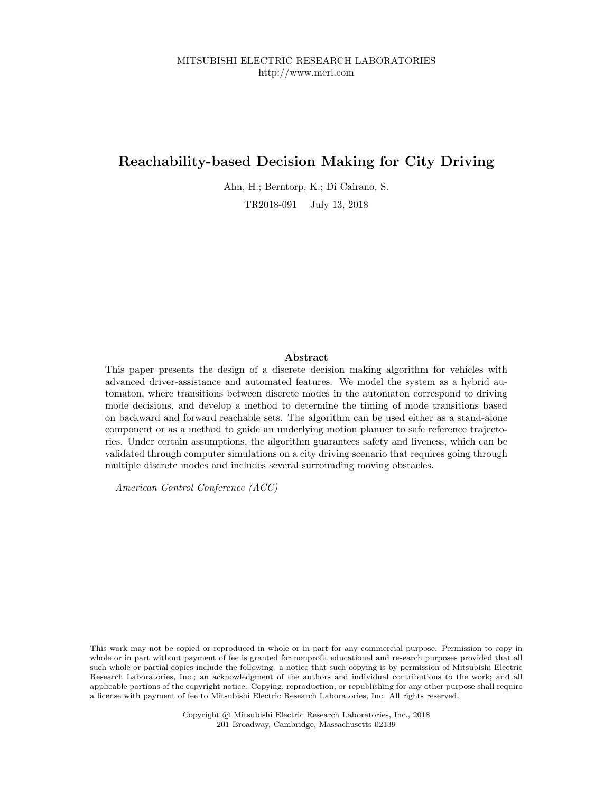## Reachability-based Decision Making for City Driving

Ahn, H.; Berntorp, K.; Di Cairano, S.

TR2018-091 July 13, 2018

## Abstract

This paper presents the design of a discrete decision making algorithm for vehicles with advanced driver-assistance and automated features. We model the system as a hybrid automaton, where transitions between discrete modes in the automaton correspond to driving mode decisions, and develop a method to determine the timing of mode transitions based on backward and forward reachable sets. The algorithm can be used either as a stand-alone component or as a method to guide an underlying motion planner to safe reference trajectories. Under certain assumptions, the algorithm guarantees safety and liveness, which can be validated through computer simulations on a city driving scenario that requires going through multiple discrete modes and includes several surrounding moving obstacles.

American Control Conference (ACC)

This work may not be copied or reproduced in whole or in part for any commercial purpose. Permission to copy in whole or in part without payment of fee is granted for nonprofit educational and research purposes provided that all such whole or partial copies include the following: a notice that such copying is by permission of Mitsubishi Electric Research Laboratories, Inc.; an acknowledgment of the authors and individual contributions to the work; and all applicable portions of the copyright notice. Copying, reproduction, or republishing for any other purpose shall require a license with payment of fee to Mitsubishi Electric Research Laboratories, Inc. All rights reserved.

> Copyright © Mitsubishi Electric Research Laboratories, Inc., 2018 201 Broadway, Cambridge, Massachusetts 02139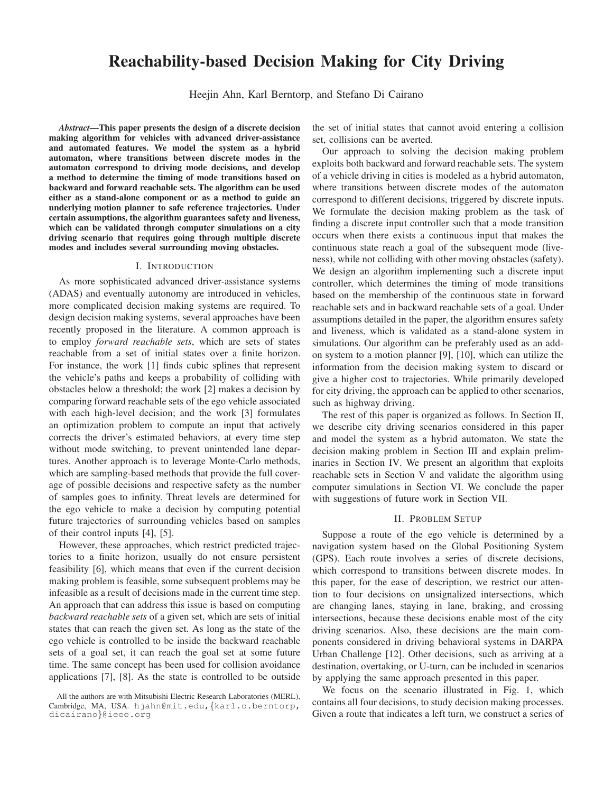# Reachability-based Decision Making for City Driving

Heejin Ahn, Karl Berntorp, and Stefano Di Cairano

*Abstract*—This paper presents the design of a discrete decision making algorithm for vehicles with advanced driver-assistance and automated features. We model the system as a hybrid automaton, where transitions between discrete modes in the automaton correspond to driving mode decisions, and develop a method to determine the timing of mode transitions based on backward and forward reachable sets. The algorithm can be used either as a stand-alone component or as a method to guide an underlying motion planner to safe reference trajectories. Under certain assumptions, the algorithm guarantees safety and liveness, which can be validated through computer simulations on a city driving scenario that requires going through multiple discrete modes and includes several surrounding moving obstacles.

#### I. INTRODUCTION

As more sophisticated advanced driver-assistance systems (ADAS) and eventually autonomy are introduced in vehicles, more complicated decision making systems are required. To design decision making systems, several approaches have been recently proposed in the literature. A common approach is to employ *forward reachable sets*, which are sets of states reachable from a set of initial states over a finite horizon. For instance, the work [1] finds cubic splines that represent the vehicle's paths and keeps a probability of colliding with obstacles below a threshold; the work [2] makes a decision by comparing forward reachable sets of the ego vehicle associated with each high-level decision; and the work [3] formulates an optimization problem to compute an input that actively corrects the driver's estimated behaviors, at every time step without mode switching, to prevent unintended lane departures. Another approach is to leverage Monte-Carlo methods, which are sampling-based methods that provide the full coverage of possible decisions and respective safety as the number of samples goes to infinity. Threat levels are determined for the ego vehicle to make a decision by computing potential future trajectories of surrounding vehicles based on samples of their control inputs [4], [5].

However, these approaches, which restrict predicted trajectories to a finite horizon, usually do not ensure persistent feasibility [6], which means that even if the current decision making problem is feasible, some subsequent problems may be infeasible as a result of decisions made in the current time step. An approach that can address this issue is based on computing *backward reachable sets* of a given set, which are sets of initial states that can reach the given set. As long as the state of the ego vehicle is controlled to be inside the backward reachable sets of a goal set, it can reach the goal set at some future time. The same concept has been used for collision avoidance applications [7], [8]. As the state is controlled to be outside

the set of initial states that cannot avoid entering a collision set, collisions can be averted.

Our approach to solving the decision making problem exploits both backward and forward reachable sets. The system of a vehicle driving in cities is modeled as a hybrid automaton, where transitions between discrete modes of the automaton correspond to different decisions, triggered by discrete inputs. We formulate the decision making problem as the task of finding a discrete input controller such that a mode transition occurs when there exists a continuous input that makes the continuous state reach a goal of the subsequent mode (liveness), while not colliding with other moving obstacles (safety). We design an algorithm implementing such a discrete input controller, which determines the timing of mode transitions based on the membership of the continuous state in forward reachable sets and in backward reachable sets of a goal. Under assumptions detailed in the paper, the algorithm ensures safety and liveness, which is validated as a stand-alone system in simulations. Our algorithm can be preferably used as an addon system to a motion planner [9], [10], which can utilize the information from the decision making system to discard or give a higher cost to trajectories. While primarily developed for city driving, the approach can be applied to other scenarios, such as highway driving.

The rest of this paper is organized as follows. In Section II, we describe city driving scenarios considered in this paper and model the system as a hybrid automaton. We state the decision making problem in Section III and explain preliminaries in Section IV. We present an algorithm that exploits reachable sets in Section V and validate the algorithm using computer simulations in Section VI. We conclude the paper with suggestions of future work in Section VII.

#### II. PROBLEM SETUP

Suppose a route of the ego vehicle is determined by a navigation system based on the Global Positioning System (GPS). Each route involves a series of discrete decisions, which correspond to transitions between discrete modes. In this paper, for the ease of description, we restrict our attention to four decisions on unsignalized intersections, which are changing lanes, staying in lane, braking, and crossing intersections, because these decisions enable most of the city driving scenarios. Also, these decisions are the main components considered in driving behavioral systems in DARPA Urban Challenge [12]. Other decisions, such as arriving at a destination, overtaking, or U-turn, can be included in scenarios by applying the same approach presented in this paper.

We focus on the scenario illustrated in Fig. 1, which contains all four decisions, to study decision making processes. Given a route that indicates a left turn, we construct a series of

All the authors are with Mitsubishi Electric Research Laboratories (MERL), Cambridge, MA, USA. hjahn@mit.edu,{karl.o.berntorp, dicairano}@ieee.org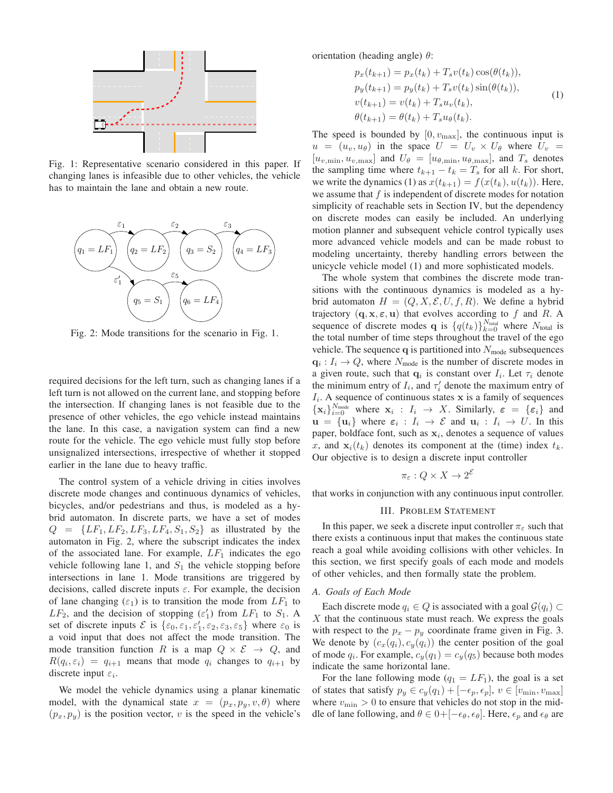

Fig. 1: Representative scenario considered in this paper. If changing lanes is infeasible due to other vehicles, the vehicle has to maintain the lane and obtain a new route.



Fig. 2: Mode transitions for the scenario in Fig. 1.

required decisions for the left turn, such as changing lanes if a left turn is not allowed on the current lane, and stopping before the intersection. If changing lanes is not feasible due to the presence of other vehicles, the ego vehicle instead maintains the lane. In this case, a navigation system can find a new route for the vehicle. The ego vehicle must fully stop before unsignalized intersections, irrespective of whether it stopped earlier in the lane due to heavy traffic.

The control system of a vehicle driving in cities involves discrete mode changes and continuous dynamics of vehicles, bicycles, and/or pedestrians and thus, is modeled as a hybrid automaton. In discrete parts, we have a set of modes  $Q = \{LF_1, LF_2, LF_3, LF_4, S_1, S_2\}$  as illustrated by the automaton in Fig. 2, where the subscript indicates the index of the associated lane. For example,  $LF_1$  indicates the ego vehicle following lane 1, and  $S_1$  the vehicle stopping before intersections in lane 1. Mode transitions are triggered by decisions, called discrete inputs  $\varepsilon$ . For example, the decision of lane changing  $(\varepsilon_1)$  is to transition the mode from  $LF_1$  to  $LF_2$ , and the decision of stopping  $(\varepsilon_1')$  from  $LF_1$  to  $S_1$ . A set of discrete inputs  $\mathcal E$  is  $\{\varepsilon_0, \varepsilon_1, \varepsilon_1', \varepsilon_2, \varepsilon_3, \varepsilon_5\}$  where  $\varepsilon_0$  is a void input that does not affect the mode transition. The mode transition function R is a map  $Q \times \mathcal{E} \rightarrow Q$ , and  $R(q_i, \varepsilon_i) = q_{i+1}$  means that mode  $q_i$  changes to  $q_{i+1}$  by discrete input  $\varepsilon_i$ .

We model the vehicle dynamics using a planar kinematic model, with the dynamical state  $x = (p_x, p_y, v, \theta)$  where  $(p_x, p_y)$  is the position vector, v is the speed in the vehicle's orientation (heading angle)  $\theta$ :

$$
p_x(t_{k+1}) = p_x(t_k) + T_s v(t_k) \cos(\theta(t_k)),
$$
  
\n
$$
p_y(t_{k+1}) = p_y(t_k) + T_s v(t_k) \sin(\theta(t_k)),
$$
  
\n
$$
v(t_{k+1}) = v(t_k) + T_s u_v(t_k),
$$
  
\n
$$
\theta(t_{k+1}) = \theta(t_k) + T_s u_\theta(t_k).
$$
\n(1)

The speed is bounded by  $[0, v_{\text{max}}]$ , the continuous input is  $u = (u_v, u_\theta)$  in the space  $U = U_v \times U_\theta$  where  $U_v =$  $[u_{v,\min}, u_{v,\max}]$  and  $U_{\theta} = [u_{\theta,\min}, u_{\theta,\max}]$ , and  $T_s$  denotes the sampling time where  $t_{k+1} - t_k = T_s$  for all k. For short, we write the dynamics (1) as  $x(t_{k+1}) = f(x(t_k), u(t_k))$ . Here, we assume that  $f$  is independent of discrete modes for notation simplicity of reachable sets in Section IV, but the dependency on discrete modes can easily be included. An underlying motion planner and subsequent vehicle control typically uses more advanced vehicle models and can be made robust to modeling uncertainty, thereby handling errors between the unicycle vehicle model (1) and more sophisticated models.

The whole system that combines the discrete mode transitions with the continuous dynamics is modeled as a hybrid automaton  $H = (Q, X, \mathcal{E}, U, f, R)$ . We define a hybrid trajectory  $(\mathbf{q}, \mathbf{x}, \varepsilon, \mathbf{u})$  that evolves according to f and R. A sequence of discrete modes **q** is  $\{q(t_k)\}_{k=0}^{N_{\text{total}}}$  where  $N_{\text{total}}$  is the total number of time steps throughout the travel of the ego vehicle. The sequence  $q$  is partitioned into  $N_{\text{mode}}$  subsequences  $\mathbf{q}_i: I_i \to Q$ , where  $N_{\text{mode}}$  is the number of discrete modes in a given route, such that  $q_i$  is constant over  $I_i$ . Let  $\tau_i$  denote the minimum entry of  $I_i$ , and  $\tau'_i$  denote the maximum entry of  $I_i$ . A sequence of continuous states x is a family of sequences  $\{x_i\}_{i=0}^{N_{\text{mode}}}$  where  $x_i : I_i \rightarrow X$ . Similarly,  $\varepsilon = \{\varepsilon_i\}$  and  $\mathbf{u} = {\mathbf{u}_i}$  where  $\varepsilon_i : I_i \to \mathcal{E}$  and  $\mathbf{u}_i : I_i \to U$ . In this paper, boldface font, such as  $x_i$ , denotes a sequence of values x, and  $x_i(t_k)$  denotes its component at the (time) index  $t_k$ . Our objective is to design a discrete input controller

$$
\pi_\varepsilon:Q\times X\to 2^{\mathcal{E}}
$$

that works in conjunction with any continuous input controller.

## III. PROBLEM STATEMENT

In this paper, we seek a discrete input controller  $\pi_{\varepsilon}$  such that there exists a continuous input that makes the continuous state reach a goal while avoiding collisions with other vehicles. In this section, we first specify goals of each mode and models of other vehicles, and then formally state the problem.

#### *A. Goals of Each Mode*

Each discrete mode  $q_i \in Q$  is associated with a goal  $\mathcal{G}(q_i) \subset$  $X$  that the continuous state must reach. We express the goals with respect to the  $p_x - p_y$  coordinate frame given in Fig. 3. We denote by  $(c_x(q_i), c_y(q_i))$  the center position of the goal of mode  $q_i$ . For example,  $c_y(q_1) = c_y(q_5)$  because both modes indicate the same horizontal lane.

For the lane following mode  $(q_1 = LF_1)$ , the goal is a set of states that satisfy  $p_y \in c_y(q_1) + [-\epsilon_p, \epsilon_p], v \in [v_{\min}, v_{\max}]$ where  $v_{\text{min}} > 0$  to ensure that vehicles do not stop in the middle of lane following, and  $\theta \in 0+[-\epsilon_{\theta}, \epsilon_{\theta}]$ . Here,  $\epsilon_p$  and  $\epsilon_{\theta}$  are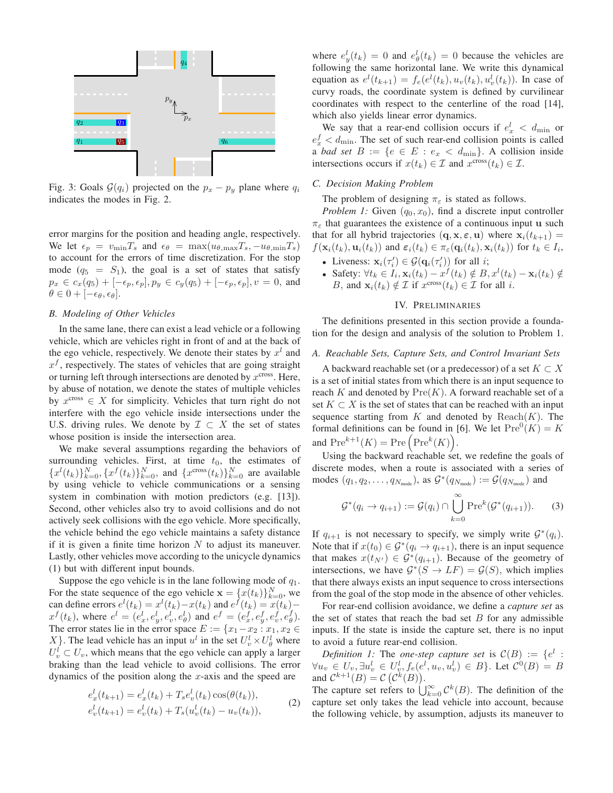

Fig. 3: Goals  $\mathcal{G}(q_i)$  projected on the  $p_x - p_y$  plane where  $q_i$ indicates the modes in Fig. 2.

error margins for the position and heading angle, respectively. We let  $\epsilon_p = v_{\text{min}}T_s$  and  $\epsilon_\theta = \text{max}(u_{\theta,\text{max}}T_s, -u_{\theta,\text{min}}T_s)$ to account for the errors of time discretization. For the stop mode  $(q_5 = S_1)$ , the goal is a set of states that satisfy  $p_x \in c_x(q_5) + [-\epsilon_p, \epsilon_p], p_y \in c_y(q_5) + [-\epsilon_p, \epsilon_p], v = 0$ , and  $\theta \in 0 + [-\epsilon_{\theta}, \epsilon_{\theta}].$ 

## *B. Modeling of Other Vehicles*

In the same lane, there can exist a lead vehicle or a following vehicle, which are vehicles right in front of and at the back of the ego vehicle, respectively. We denote their states by  $x^l$  and  $x<sup>f</sup>$ , respectively. The states of vehicles that are going straight or turning left through intersections are denoted by  $x^{\text{cross}}$ . Here, by abuse of notation, we denote the states of multiple vehicles by  $x^{\text{cross}} \in X$  for simplicity. Vehicles that turn right do not interfere with the ego vehicle inside intersections under the U.S. driving rules. We denote by  $\mathcal{I} \subset X$  the set of states whose position is inside the intersection area.

We make several assumptions regarding the behaviors of surrounding vehicles. First, at time  $t_0$ , the estimates of  ${x^{l}(t_k)}_{k=0}^{N}, {x^{f}(t_k)}_{k=0}^{N},$  and  ${x^{cross}(t_k)}_{k=0}^{N}$  are available by using vehicle to vehicle communications or a sensing system in combination with motion predictors (e.g. [13]). Second, other vehicles also try to avoid collisions and do not actively seek collisions with the ego vehicle. More specifically, the vehicle behind the ego vehicle maintains a safety distance if it is given a finite time horizon  $N$  to adjust its maneuver. Lastly, other vehicles move according to the unicycle dynamics (1) but with different input bounds.

Suppose the ego vehicle is in the lane following mode of  $q_1$ . For the state sequence of the ego vehicle  $\mathbf{x} = \{x(t_k)\}_{k=0}^N$ , we can define errors  $e^{l}(t_k) = x^{l}(t_k) - x(t_k)$  and  $e^{f}(t_k) = x(t_k) - x(t_k)$  $x^f(t_k)$ , where  $e^l = (e_x^l, e_y^l, e_v^l, e_\theta^l)$  and  $e^f = (e_x^f, e_y^f, e_v^f, e_\theta^f)$ . The error states lie in the error space  $E := \{x_1 - x_2 : x_1, x_2 \in$ X }. The lead vehicle has an input  $u^l$  in the set  $U_v^l \times U_\theta^l$  where  $U_v^l \subset U_v$ , which means that the ego vehicle can apply a larger braking than the lead vehicle to avoid collisions. The error dynamics of the position along the  $x$ -axis and the speed are

$$
e_x^l(t_{k+1}) = e_x^l(t_k) + T_s e_v^l(t_k) \cos(\theta(t_k)),
$$
  
\n
$$
e_v^l(t_{k+1}) = e_v^l(t_k) + T_s (u_v^l(t_k) - u_v(t_k)),
$$
\n(2)

where  $e_y^l(t_k) = 0$  and  $e_\theta^l(t_k) = 0$  because the vehicles are following the same horizontal lane. We write this dynamical equation as  $e^{l}(t_{k+1}) = f_e(e^{l}(t_k), u_v(t_k), u_v^{l}(t_k))$ . In case of curvy roads, the coordinate system is defined by curvilinear coordinates with respect to the centerline of the road [14], which also yields linear error dynamics.

We say that a rear-end collision occurs if  $e_x^l$   $\langle d_{\text{min}}$  or  $e_x^f < d_{\text{min}}$ . The set of such rear-end collision points is called a *bad set*  $B := \{e \in E : e_x < d_{\min}\}\)$ . A collision inside intersections occurs if  $x(t_k) \in \mathcal{I}$  and  $x^{\text{cross}}(t_k) \in \mathcal{I}$ .

#### *C. Decision Making Problem*

The problem of designing  $\pi_{\epsilon}$  is stated as follows.

*Problem 1:* Given  $(q_0, x_0)$ , find a discrete input controller  $\pi_{\varepsilon}$  that guarantees the existence of a continuous input u such that for all hybrid trajectories  $(\mathbf{q}, \mathbf{x}, \varepsilon, \mathbf{u})$  where  $\mathbf{x}_i(t_{k+1}) =$  $f(\mathbf{x}_i(t_k), \mathbf{u}_i(t_k))$  and  $\varepsilon_i(t_k) \in \pi_{\varepsilon}(\mathbf{q}_i(t_k), \mathbf{x}_i(t_k))$  for  $t_k \in I_i$ ,

- Liveness:  $\mathbf{x}_i(\tau'_i) \in \mathcal{G}(\mathbf{q}_i(\tau'_i))$  for all *i*;
- Safety:  $\forall t_k \in I_i$ ,  $\mathbf{x}_i(t_k) x^f(t_k) \notin B$ ,  $x^l(t_k) \mathbf{x}_i(t_k) \notin B$ *B*, and  $\mathbf{x}_i(t_k) \notin \mathcal{I}$  if  $x^{\text{cross}}(t_k) \in \mathcal{I}$  for all *i*.

#### IV. PRELIMINARIES

The definitions presented in this section provide a foundation for the design and analysis of the solution to Problem 1.

#### *A. Reachable Sets, Capture Sets, and Control Invariant Sets*

A backward reachable set (or a predecessor) of a set  $K \subset X$ is a set of initial states from which there is an input sequence to reach K and denoted by  $Pre(K)$ . A forward reachable set of a set  $K \subset X$  is the set of states that can be reached with an input sequence starting from  $K$  and denoted by  $\text{Reach}(K)$ . The formal definitions can be found in [6]. We let  $Pre^{0}(K) = K$ and  $\operatorname{Pre}^{k+1}(K) = \operatorname{Pre} \left( \operatorname{Pre}^k(K) \right).$ 

Using the backward reachable set, we redefine the goals of discrete modes, when a route is associated with a series of modes  $(q_1, q_2, \ldots, q_{N_{\text{mode}}})$ , as  $\mathcal{G}^*(q_{N_{\text{mode}}}) := \mathcal{G}(q_{N_{\text{mode}}})$  and

$$
\mathcal{G}^*(q_i \to q_{i+1}) := \mathcal{G}(q_i) \cap \bigcup_{k=0}^{\infty} \operatorname{Pre}^k(\mathcal{G}^*(q_{i+1})).
$$
 (3)

If  $q_{i+1}$  is not necessary to specify, we simply write  $\mathcal{G}^*(q_i)$ . Note that if  $x(t_0) \in \mathcal{G}^*(q_i \to q_{i+1})$ , there is an input sequence that makes  $x(t_{N'}) \in \mathcal{G}^*(q_{i+1})$ . Because of the geometry of intersections, we have  $G^*(S \to LF) = \mathcal{G}(S)$ , which implies that there always exists an input sequence to cross intersections from the goal of the stop mode in the absence of other vehicles.

For rear-end collision avoidance, we define a *capture set* as the set of states that reach the bad set  $B$  for any admissible inputs. If the state is inside the capture set, there is no input to avoid a future rear-end collision.

*Definition 1:* The *one-step capture set* is  $C(B) := \{e^l :$  $\forall u_v \in U_v, \exists u_v^l \in U_v^l, f_e(e^l, u_v, u_v^l) \in B$ . Let  $C^0(B) = B$ and  $\mathcal{C}^{k+1}(B) = \mathcal{C}(\mathcal{C}^k(B)).$ 

The capture set refers to  $\bigcup_{k=0}^{\infty} C^k(B)$ . The definition of the capture set only takes the lead vehicle into account, because the following vehicle, by assumption, adjusts its maneuver to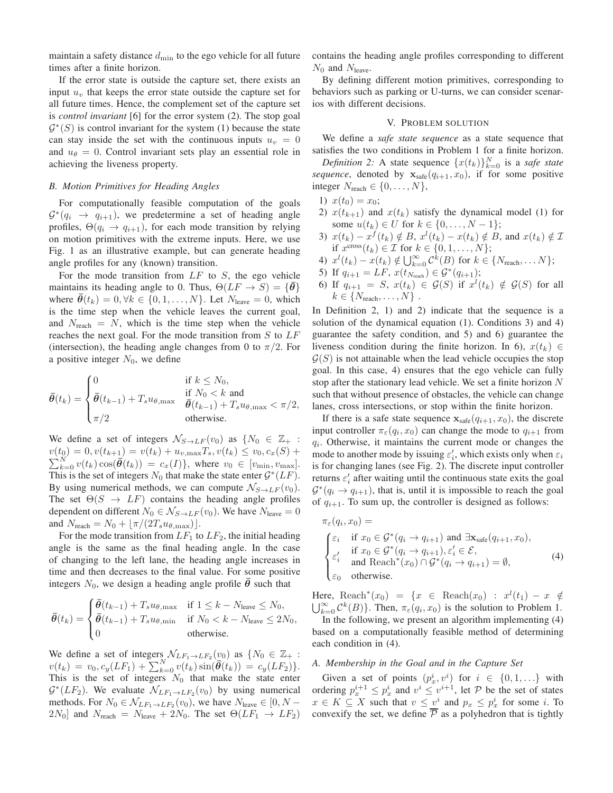maintain a safety distance  $d_{\min}$  to the ego vehicle for all future times after a finite horizon.

If the error state is outside the capture set, there exists an input  $u<sub>v</sub>$ , that keeps the error state outside the capture set for all future times. Hence, the complement set of the capture set is *control invariant* [6] for the error system (2). The stop goal  $\mathcal{G}^*(S)$  is control invariant for the system (1) because the state can stay inside the set with the continuous inputs  $u_y = 0$ and  $u_{\theta} = 0$ . Control invariant sets play an essential role in achieving the liveness property.

#### *B. Motion Primitives for Heading Angles*

For computationally feasible computation of the goals  $\mathcal{G}^*(q_i \rightarrow q_{i+1})$ , we predetermine a set of heading angle profiles,  $\Theta(q_i \rightarrow q_{i+1})$ , for each mode transition by relying on motion primitives with the extreme inputs. Here, we use Fig. 1 as an illustrative example, but can generate heading angle profiles for any (known) transition.

For the mode transition from  $LF$  to  $S$ , the ego vehicle maintains its heading angle to 0. Thus,  $\Theta(LF \rightarrow S) = {\lbrace \bar{\theta} \rbrace}$ where  $\bar{\theta}(t_k) = 0, \forall k \in \{0, 1, \dots, N\}$ . Let  $N_{\text{leave}} = 0$ , which is the time step when the vehicle leaves the current goal, and  $N_{\text{reach}} = N$ , which is the time step when the vehicle reaches the next goal. For the mode transition from  $S$  to  $LF$ (intersection), the heading angle changes from 0 to  $\pi/2$ . For a positive integer  $N_0$ , we define

$$
\bar{\theta}(t_k) = \begin{cases}\n0 & \text{if } k \leq N_0, \\
\bar{\theta}(t_{k-1}) + T_s u_{\theta,\max} & \text{if } N_0 < k \text{ and} \\
\bar{\theta}(t_{k-1}) + T_s u_{\theta,\max} & < \pi/2, \\
\pi/2 & \text{otherwise.} \n\end{cases}
$$

We define a set of integers  $\mathcal{N}_{S\rightarrow LF}(v_0)$  as  $\{N_0 \in \mathbb{Z}_+ : S\}$  $\sum_{k=0}^{N} v(t_k) \cos(\vec{\theta}(t_k)) = c_x(I)$ , where  $v_0 \in [v_{\min}, v_{\max}]$ .  $v(t_0) = 0, v(t_{k+1}) = v(t_k) + u_{v, \max} T_s, v(t_k) \leq v_0, c_x(S) +$ This is the set of integers  $N_0$  that make the state enter  $\mathcal{G}^*(LF)$ . By using numerical methods, we can compute  $N_{S\to LF}(v_0)$ . The set  $\Theta(S \to LF)$  contains the heading angle profiles dependent on different  $N_0 \in \mathcal{N}_{S \to LF}(v_0)$ . We have  $N_{\text{leave}} = 0$ and  $N_{\text{reach}} = N_0 + |\pi/(2T_s u_{\theta,\text{max}})|$ .

For the mode transition from  $LF_1$  to  $LF_2$ , the initial heading angle is the same as the final heading angle. In the case of changing to the left lane, the heading angle increases in time and then decreases to the final value. For some positive integers  $N_0$ , we design a heading angle profile  $\bar{\theta}$  such that

$$
\bar{\theta}(t_k) = \begin{cases} \bar{\theta}(t_{k-1}) + T_s u_{\theta,\max} & \text{if } 1 \le k - N_{\text{leave}} \le N_0, \\ \bar{\theta}(t_{k-1}) + T_s u_{\theta,\min} & \text{if } N_0 < k - N_{\text{leave}} \le 2N_0, \\ 0 & \text{otherwise.} \end{cases}
$$

We define a set of integers  $\mathcal{N}_{LF_1 \to LF_2}(v_0)$  as  $\{N_0 \in \mathbb{Z}_+ :$  $v(t_k) = v_0, c_y(LF_1) + \sum_{k=0}^{N} v(t_k) \sin(\bar{\theta}(t_k)) = c_y(LF_2)$ . This is the set of integers  $N_0$  that make the state enter  $\mathcal{G}^*(LF_2)$ . We evaluate  $\mathcal{N}_{LF_1 \to LF_2}(v_0)$  by using numerical methods. For  $N_0 \in \mathcal{N}_{LF_1 \to LF_2}(v_0)$ , we have  $N_{\text{leave}} \in [0, N 2N_0$ ] and  $N_{\text{reach}} = N_{\text{leave}} + 2N_0$ . The set  $\Theta(LF_1 \rightarrow LF_2)$  contains the heading angle profiles corresponding to different  $N_0$  and  $N_{\text{leave}}$ .

By defining different motion primitives, corresponding to behaviors such as parking or U-turns, we can consider scenarios with different decisions.

#### V. PROBLEM SOLUTION

We define a *safe state sequence* as a state sequence that satisfies the two conditions in Problem 1 for a finite horizon.

*Definition 2:* A state sequence  $\{x(t_k)\}_{k=0}^N$  is a *safe state sequence*, denoted by  $\mathbf{x}_{safe}(q_{i+1}, x_0)$ , if for some positive integer  $N_{\text{reach}} \in \{0, \ldots, N\},\$ 

- 1)  $x(t_0) = x_0;$
- 2)  $x(t_{k+1})$  and  $x(t_k)$  satisfy the dynamical model (1) for some  $u(t_k)$  ∈ *U* for  $k$  ∈ {0, ...,  $N - 1$ };
- 3)  $x(t_k) x^f(t_k) \notin B$ ,  $x^l(t_k) x(t_k) \notin B$ , and  $x(t_k) \notin \mathcal{I}$ if  $x^{\text{cross}}(t_k) \in \mathcal{I}$  for  $k \in \{0, 1, \ldots, N\};$
- 4)  $x^{l}(t_{k}) x(t_{k}) \notin \bigcup_{k=0}^{\infty} C^{\tilde{k}}(B)$  for  $k \in \{N_{\text{reach}}, \ldots N\};$
- 5) If  $q_{i+1} = LF$ ,  $x(t_{N_{\text{reach}}}) \in \mathcal{G}^*(q_{i+1});$
- 6) If  $q_{i+1} = S$ ,  $x(t_k) \in \mathcal{G}(S)$  if  $x^l(t_k) \notin \mathcal{G}(S)$  for all  $k \in \{N_{\text{reach}}, \ldots, N\}$ .

In Definition 2, 1) and 2) indicate that the sequence is a solution of the dynamical equation (1). Conditions 3) and 4) guarantee the safety condition, and 5) and 6) guarantee the liveness condition during the finite horizon. In 6),  $x(t_k) \in$  $\mathcal{G}(S)$  is not attainable when the lead vehicle occupies the stop goal. In this case, 4) ensures that the ego vehicle can fully stop after the stationary lead vehicle. We set a finite horizon  $N$ such that without presence of obstacles, the vehicle can change lanes, cross intersections, or stop within the finite horizon.

If there is a safe state sequence  $\mathbf{x}_{\text{safe}}(q_{i+1}, x_0)$ , the discrete input controller  $\pi_{\varepsilon}(q_i, x_0)$  can change the mode to  $q_{i+1}$  from  $q_i$ . Otherwise, it maintains the current mode or changes the mode to another mode by issuing  $\varepsilon'_i$ , which exists only when  $\varepsilon_i$ is for changing lanes (see Fig. 2). The discrete input controller returns  $\varepsilon'_i$  after waiting until the continuous state exits the goal  $\mathcal{G}^*(q_i \rightarrow q_{i+1})$ , that is, until it is impossible to reach the goal of  $q_{i+1}$ . To sum up, the controller is designed as follows:

$$
\pi_{\varepsilon}(q_i, x_0) =
$$
\n
$$
\begin{cases}\n\varepsilon_i & \text{if } x_0 \in \mathcal{G}^*(q_i \to q_{i+1}) \text{ and } \exists \mathbf{x}_{\text{safe}}(q_{i+1}, x_0), \\
\varepsilon'_i & \text{if } x_0 \in \mathcal{G}^*(q_i \to q_{i+1}), \varepsilon'_i \in \mathcal{E}, \\
\varepsilon'_i & \text{and } \text{Reach}^*(x_0) \cap \mathcal{G}^*(q_i \to q_{i+1}) = \emptyset, \\
\varepsilon_0 & \text{otherwise.} \n\end{cases}
$$
\n(4)

Here, Reach<sup>\*</sup> $(x_0)$  = { $x \in$  Reach $(x_0)$  :  $x^l(t_1) - x \notin$  $\bigcup_{k=0}^{\infty} C^{k}(B)$ . Then,  $\pi_{\varepsilon}(q_i, x_0)$  is the solution to Problem 1.

In the following, we present an algorithm implementing (4) based on a computationally feasible method of determining each condition in (4).

#### *A. Membership in the Goal and in the Capture Set*

Given a set of points  $(p_x^i, v^i)$  for  $i \in \{0, 1, ...\}$  with ordering  $p_x^{i+1} \leq p_x^i$  and  $v^i \leq v^{i+1}$ , let P be the set of states  $x \in K \subseteq X$  such that  $v \leq v^i$  and  $p_x \leq p^i_x$  for some *i*. To convexify the set, we define  $\overline{P}$  as a polyhedron that is tightly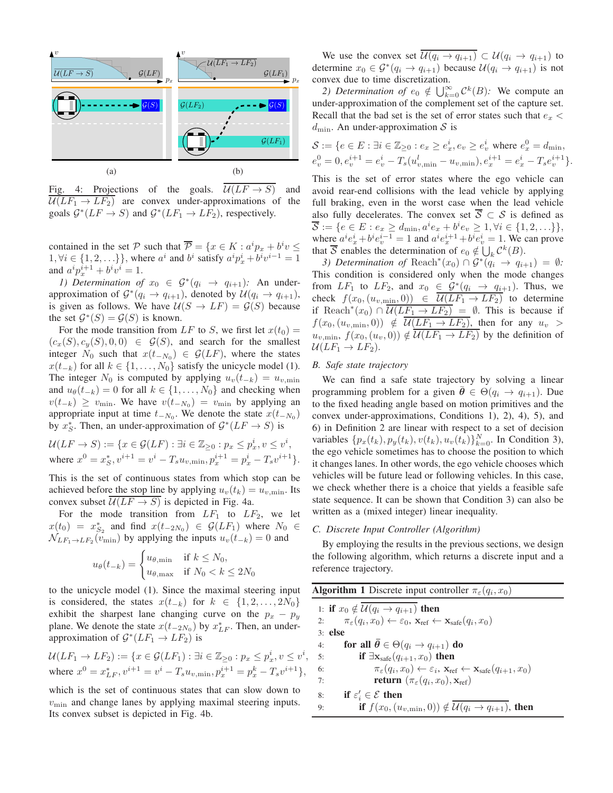

Fig. 4: Projections of the goals.  $U(LF \rightarrow S)$  and  $U(LF_1 \rightarrow LF_2)$  are convex under-approximations of the goals  $G^*(LF \to S)$  and  $G^*(LF_1 \to LF_2)$ , respectively.

contained in the set  $P$  such that  $\overline{P} = \{x \in K : a^i p_x + b^i v \leq \overline{P}\}$  $1, \forall i \in \{1, 2, \ldots\}$ , where  $a^i$  and  $b^i$  satisfy  $a^i p_x^i + b^i v^{i-1} = 1$ and  $a^i p_x^{i+1} + b^i v^i = 1$ .

*1) Determination of*  $x_0 \in G^*(q_i \rightarrow q_{i+1})$ : An underapproximation of  $\mathcal{G}^*(q_i \to q_{i+1})$ , denoted by  $\mathcal{U}(q_i \to q_{i+1})$ , is given as follows. We have  $U(S \to LF) = \mathcal{G}(S)$  because the set  $\mathcal{G}^*(S) = \mathcal{G}(S)$  is known.

For the mode transition from LF to S, we first let  $x(t_0)$  =  $(c_x(S), c_y(S), 0, 0) \in \mathcal{G}(S)$ , and search for the smallest integer  $N_0$  such that  $x(t_{-N_0}) \in \mathcal{G}(LF)$ , where the states  $x(t_{-k})$  for all  $k \in \{1, \ldots, N_0\}$  satisfy the unicycle model (1). The integer  $N_0$  is computed by applying  $u_v(t_{-k}) = u_{v,\text{min}}$ and  $u_{\theta}(t_{-k}) = 0$  for all  $k \in \{1, ..., N_0\}$  and checking when  $v(t_{-k}) \geq v_{\min}$ . We have  $v(t_{-N_0}) = v_{\min}$  by applying an appropriate input at time  $t_{-N_0}$ . We denote the state  $x(t_{-N_0})$ by  $x_S^*$ . Then, an under-approximation of  $\mathcal{G}^*(LF \to S)$  is

$$
\mathcal{U}(LF \to S) := \{ x \in \mathcal{G}(LF) : \exists i \in \mathbb{Z}_{\geq 0} : p_x \leq p_x^i, v \leq v^i, \\ \text{where } x^0 = x_S^*, v^{i+1} = v^i - T_s u_{v,\min}, p_x^{i+1} = p_x^i - T_s v^{i+1} \}.
$$

This is the set of continuous states from which stop can be achieved before the stop line by applying  $u_v(t_k) = u_{v,\text{min}}$ . Its convex subset  $U(LF \rightarrow S)$  is depicted in Fig. 4a.

For the mode transition from  $LF_1$  to  $LF_2$ , we let  $x(t_0) = x_{S_2}^*$  and find  $x(t_{-2N_0}) \in \mathcal{G}(LF_1)$  where  $N_0 \in$  $N_{LF_1 \to LF_2}(v_{\text{min}})$  by applying the inputs  $u_v(t_{-k}) = 0$  and

$$
u_{\theta}(t_{-k}) = \begin{cases} u_{\theta,\min} & \text{if } k \le N_0, \\ u_{\theta,\max} & \text{if } N_0 < k \le 2N_0 \end{cases}
$$

to the unicycle model (1). Since the maximal steering input is considered, the states  $x(t_{-k})$  for  $k \in \{1, 2, ..., 2N_0\}$ exhibit the sharpest lane changing curve on the  $p_x - p_y$ plane. We denote the state  $x(t_{-2N_0})$  by  $x_{LF}^*$ . Then, an underapproximation of  $\mathcal{G}^*(LF_1 \to LF_2)$  is

$$
\mathcal{U}(LF_1 \to LF_2) := \{ x \in \mathcal{G}(LF_1) : \exists i \in \mathbb{Z}_{\geq 0} : p_x \leq p_x^i, v \leq v^i, \\ \text{where } x^0 = x_{LF}^i, v^{i+1} = v^i - T_s u_{v,\min}, p_x^{i+1} = p_x^k - T_s v^{i+1} \},
$$

which is the set of continuous states that can slow down to  $v_{\text{min}}$  and change lanes by applying maximal steering inputs. Its convex subset is depicted in Fig. 4b.

We use the convex set  $\overline{\mathcal{U}(q_i \rightarrow q_{i+1})} \subset \mathcal{U}(q_i \rightarrow q_{i+1})$  to determine  $x_0 \in \mathcal{G}^*(q_i \to q_{i+1})$  because  $\mathcal{U}(q_i \to q_{i+1})$  is not convex due to time discretization.

2) Determination of  $e_0 \notin \bigcup_{k=0}^{\infty} C^k(B)$ : We compute an under-approximation of the complement set of the capture set. Recall that the bad set is the set of error states such that  $e_x$  $d_{\text{min}}$ . An under-approximation S is

$$
\begin{aligned} \mathcal{S} &:= \{e \in E: \exists i \in \mathbb{Z}_{\geq 0}: e_x \geq e_x^i, e_v \geq e_v^i \text{ where } e_x^0 = d_{\min}, \\ e_v^0 = 0, e_v^{i+1} = e_v^i - T_s(u_{v,\min}^l - u_{v,\min}), e_x^{i+1} = e_x^i - T_s e_v^{i+1} \}. \end{aligned}
$$

This is the set of error states where the ego vehicle can avoid rear-end collisions with the lead vehicle by applying full braking, even in the worst case when the lead vehicle also fully decelerates. The convex set  $\overline{S} \subset S$  is defined as  $\overline{S} := \{ e \in E : e_x \ge d_{\min}, a^i e_x + b^i e_v \ge 1, \forall i \in \{1, 2, ...\} \},\$ where  $a^i e_x^i + b^i e_v^{i-1} = 1$  and  $a^i e_x^{i+1} + b^i e_v^i = 1$ . We can prove that  $\overline{S}$  enables the determination of  $e_0 \notin \bigcup_k C^k(B)$ .

3) Determination of  $\text{Reach}^*(x_0) \cap \widetilde{\mathcal{G}}^*(q_i \rightarrow q_{i+1}) = \emptyset$ : This condition is considered only when the mode changes from  $LF_1$  to  $LF_2$ , and  $x_0 \in \mathcal{G}^*(q_i \rightarrow q_{i+1})$ . Thus, we check  $f(x_0,(u_{v,\min}, 0)) \in \mathcal{U}(LF_1 \to LF_2)$  to determine if Reach<sup>\*</sup> $(x_0)$   $\cap$   $\overline{\mathcal{U}(LF_1 \rightarrow LF_2)}$  =  $\emptyset$ . This is because if  $f(x_0,(u_{v,\min}, 0)) \notin \mathcal{U}(LF_1 \rightarrow LF_2)$ , then for any  $u_v >$  $u_{v,\min}$ ,  $f(x_0,(u_v, 0)) \notin \mathcal{U}(LF_1 \to LF_2)$  by the definition of  $U(LF_1 \rightarrow LF_2).$ 

### *B. Safe state trajectory*

We can find a safe state trajectory by solving a linear programming problem for a given  $\theta \in \Theta(q_i \rightarrow q_{i+1})$ . Due to the fixed heading angle based on motion primitives and the convex under-approximations, Conditions 1), 2), 4), 5), and 6) in Definition 2 are linear with respect to a set of decision variables  $\{p_x(t_k), p_y(t_k), v(t_k), u_v(t_k)\}_{k=0}^N$ . In Condition 3), the ego vehicle sometimes has to choose the position to which it changes lanes. In other words, the ego vehicle chooses which vehicles will be future lead or following vehicles. In this case, we check whether there is a choice that yields a feasible safe state sequence. It can be shown that Condition 3) can also be written as a (mixed integer) linear inequality.

## *C. Discrete Input Controller (Algorithm)*

By employing the results in the previous sections, we design the following algorithm, which returns a discrete input and a reference trajectory.

| <b>Algorithm 1</b> Discrete input controller $\pi_{\varepsilon}(q_i, x_0)$ |                                                                                                                                   |  |
|----------------------------------------------------------------------------|-----------------------------------------------------------------------------------------------------------------------------------|--|
|                                                                            | 1: if $x_0 \notin \mathcal{U}(q_i \rightarrow q_{i+1})$ then                                                                      |  |
| 2:                                                                         | $\pi_{\varepsilon}(q_i, x_0) \leftarrow \varepsilon_0, \mathbf{x}_{\text{ref}} \leftarrow \mathbf{x}_{\text{safe}}(q_i, x_0)$     |  |
|                                                                            | $3:$ else                                                                                                                         |  |
| 4:                                                                         | for all $\bar{\theta} \in \Theta(q_i \rightarrow q_{i+1})$ do                                                                     |  |
| 5:                                                                         | if $\exists$ <b>x</b> <sub>safe</sub> $(q_{i+1}, x_0)$ then                                                                       |  |
| 6:                                                                         | $\pi_{\varepsilon}(q_i, x_0) \leftarrow \varepsilon_i, \mathbf{x}_{\text{ref}} \leftarrow \mathbf{x}_{\text{safe}}(q_{i+1}, x_0)$ |  |
| 7:                                                                         | <b>return</b> $(\pi_{\epsilon}(q_i, x_0), \mathbf{x}_{\text{ref}})$                                                               |  |
| 8:                                                                         | if $\varepsilon'_i \in \mathcal{E}$ then                                                                                          |  |
| 9:                                                                         | if $f(x_0, (u_{v,\min}, 0)) \notin \mathcal{U}(q_i \to q_{i+1}),$ then                                                            |  |